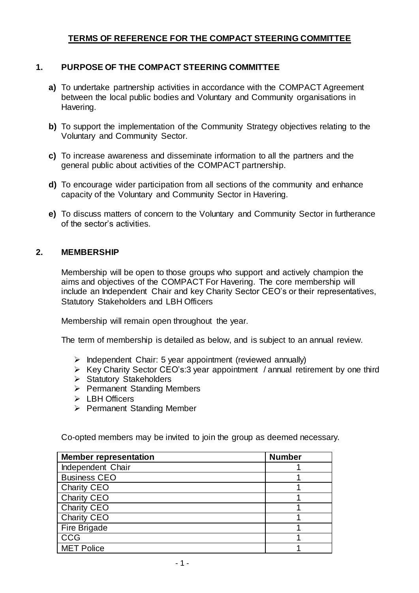# **TERMS OF REFERENCE FOR THE COMPACT STEERING COMMITTEE**

# **1. PURPOSE OF THE COMPACT STEERING COMMITTEE**

- **a)** To undertake partnership activities in accordance with the COMPACT Agreement between the local public bodies and Voluntary and Community organisations in Havering.
- **b)** To support the implementation of the Community Strategy objectives relating to the Voluntary and Community Sector.
- **c)** To increase awareness and disseminate information to all the partners and the general public about activities of the COMPACT partnership.
- **d)** To encourage wider participation from all sections of the community and enhance capacity of the Voluntary and Community Sector in Havering.
- **e)** To discuss matters of concern to the Voluntary and Community Sector in furtherance of the sector's activities.

#### **2. MEMBERSHIP**

Membership will be open to those groups who support and actively champion the aims and objectives of the COMPACT For Havering. The core membership will include an Independent Chair and key Charity Sector CEO's or their representatives, Statutory Stakeholders and LBH Officers

Membership will remain open throughout the year.

The term of membership is detailed as below, and is subject to an annual review.

- $\triangleright$  Independent Chair: 5 year appointment (reviewed annually)
- $\triangleright$  Key Charity Sector CEO's:3 year appointment / annual retirement by one third
- $\triangleright$  Statutory Stakeholders
- ▶ Permanent Standing Members
- > LBH Officers
- $\triangleright$  Permanent Standing Member

Co-opted members may be invited to join the group as deemed necessary.

| <b>Member representation</b> | <b>Number</b> |
|------------------------------|---------------|
| Independent Chair            |               |
| <b>Business CEO</b>          |               |
| <b>Charity CEO</b>           |               |
| <b>Charity CEO</b>           |               |
| <b>Charity CEO</b>           |               |
| <b>Charity CEO</b>           |               |
| Fire Brigade                 |               |
| <b>CCG</b>                   |               |
| <b>MET Police</b>            |               |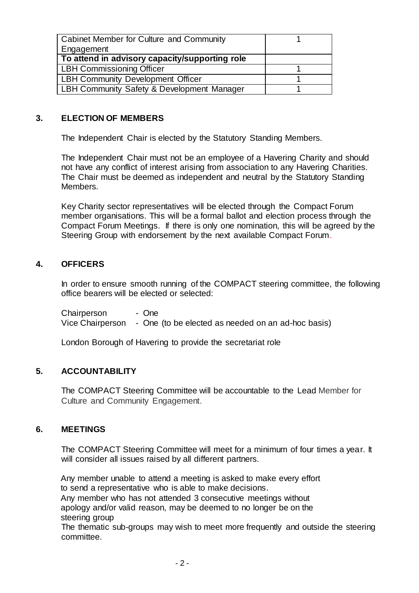| Cabinet Member for Culture and Community       |  |
|------------------------------------------------|--|
| Engagement                                     |  |
| To attend in advisory capacity/supporting role |  |
| <b>LBH Commissioning Officer</b>               |  |
| <b>LBH Community Development Officer</b>       |  |
| LBH Community Safety & Development Manager     |  |

### **3. ELECTION OF MEMBERS**

The Independent Chair is elected by the Statutory Standing Members.

The Independent Chair must not be an employee of a Havering Charity and should not have any conflict of interest arising from association to any Havering Charities. The Chair must be deemed as independent and neutral by the Statutory Standing Members.

Key Charity sector representatives will be elected through the Compact Forum member organisations. This will be a formal ballot and election process through the Compact Forum Meetings. If there is only one nomination, this will be agreed by the Steering Group with endorsement by the next available Compact Forum.

## **4. OFFICERS**

In order to ensure smooth running of the COMPACT steering committee, the following office bearers will be elected or selected:

Chairperson - One Vice Chairperson - One (to be elected as needed on an ad-hoc basis)

London Borough of Havering to provide the secretariat role

#### **5. ACCOUNTABILITY**

The COMPACT Steering Committee will be accountable to the Lead Member for Culture and Community Engagement.

#### **6. MEETINGS**

The COMPACT Steering Committee will meet for a minimum of four times a year. It will consider all issues raised by all different partners.

Any member unable to attend a meeting is asked to make every effort to send a representative who is able to make decisions. Any member who has not attended 3 consecutive meetings without apology and/or valid reason, may be deemed to no longer be on the steering group

The thematic sub-groups may wish to meet more frequently and outside the steering committee.